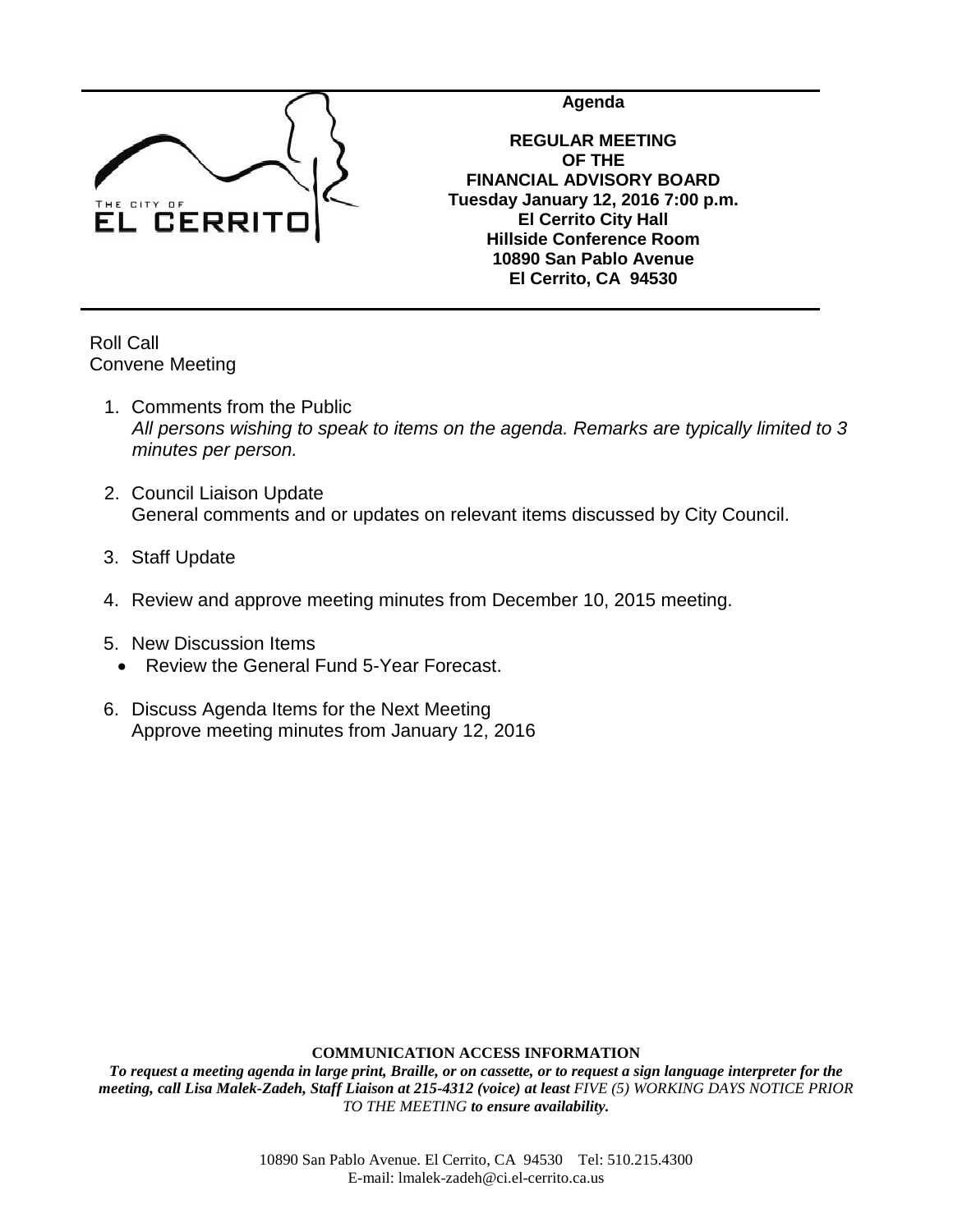

**Agenda**

**REGULAR MEETING OF THE FINANCIAL ADVISORY BOARD Tuesday January 12, 2016 7:00 p.m. El Cerrito City Hall Hillside Conference Room 10890 San Pablo Avenue El Cerrito, CA 94530**

Roll Call Convene Meeting

- 1. Comments from the Public *All persons wishing to speak to items on the agenda. Remarks are typically limited to 3 minutes per person.*
- 2. Council Liaison Update General comments and or updates on relevant items discussed by City Council.
- 3. Staff Update
- 4. Review and approve meeting minutes from December 10, 2015 meeting.
- 5. New Discussion Items
	- Review the General Fund 5-Year Forecast.
- 6. Discuss Agenda Items for the Next Meeting Approve meeting minutes from January 12, 2016

## **COMMUNICATION ACCESS INFORMATION**

*To request a meeting agenda in large print, Braille, or on cassette, or to request a sign language interpreter for the meeting, call Lisa Malek-Zadeh, Staff Liaison at 215-4312 (voice) at least FIVE (5) WORKING DAYS NOTICE PRIOR TO THE MEETING to ensure availability.*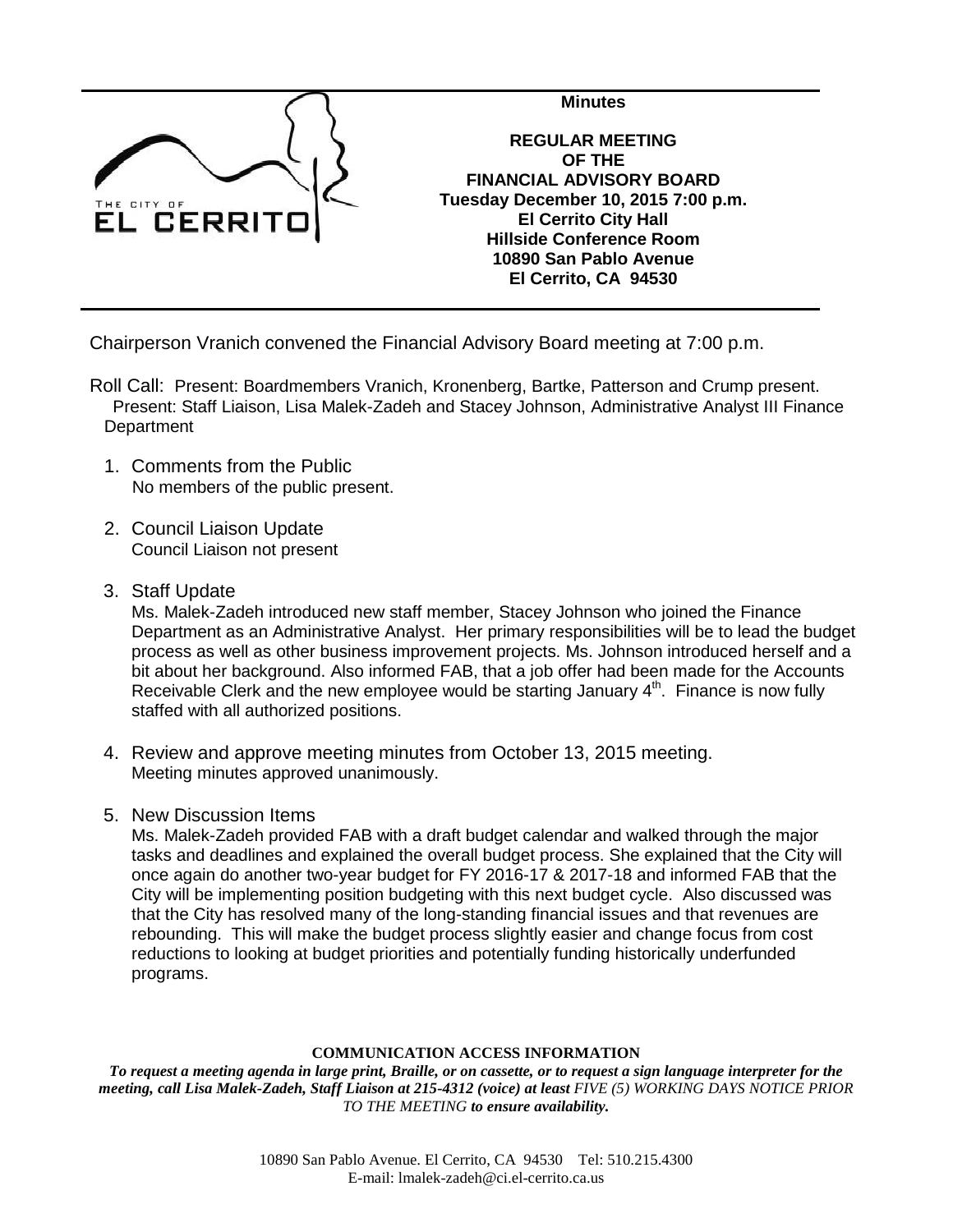

Chairperson Vranich convened the Financial Advisory Board meeting at 7:00 p.m.

- Roll Call: Present: Boardmembers Vranich, Kronenberg, Bartke, Patterson and Crump present. Present: Staff Liaison, Lisa Malek-Zadeh and Stacey Johnson, Administrative Analyst III Finance **Department** 
	- 1. Comments from the Public No members of the public present.
	- 2. Council Liaison Update Council Liaison not present
	- 3. Staff Update

Ms. Malek-Zadeh introduced new staff member, Stacey Johnson who joined the Finance Department as an Administrative Analyst. Her primary responsibilities will be to lead the budget process as well as other business improvement projects. Ms. Johnson introduced herself and a bit about her background. Also informed FAB, that a job offer had been made for the Accounts Receivable Clerk and the new employee would be starting January  $4<sup>th</sup>$ . Finance is now fully staffed with all authorized positions.

- 4. Review and approve meeting minutes from October 13, 2015 meeting. Meeting minutes approved unanimously.
- 5. New Discussion Items

Ms. Malek-Zadeh provided FAB with a draft budget calendar and walked through the major tasks and deadlines and explained the overall budget process. She explained that the City will once again do another two-year budget for FY 2016-17 & 2017-18 and informed FAB that the City will be implementing position budgeting with this next budget cycle. Also discussed was that the City has resolved many of the long-standing financial issues and that revenues are rebounding. This will make the budget process slightly easier and change focus from cost reductions to looking at budget priorities and potentially funding historically underfunded programs.

## **COMMUNICATION ACCESS INFORMATION**

*To request a meeting agenda in large print, Braille, or on cassette, or to request a sign language interpreter for the meeting, call Lisa Malek-Zadeh, Staff Liaison at 215-4312 (voice) at least FIVE (5) WORKING DAYS NOTICE PRIOR TO THE MEETING to ensure availability.*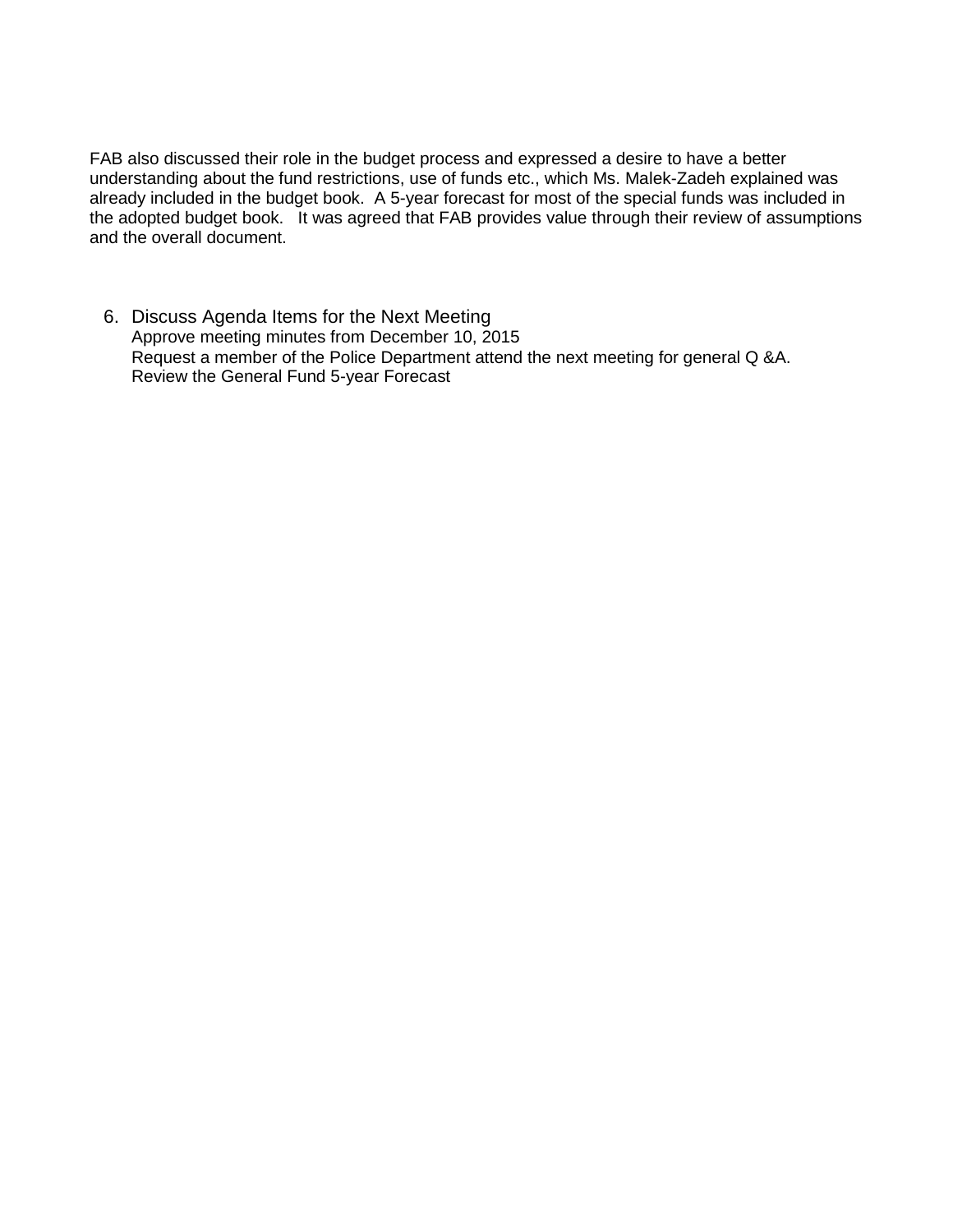FAB also discussed their role in the budget process and expressed a desire to have a better understanding about the fund restrictions, use of funds etc., which Ms. Malek-Zadeh explained was already included in the budget book. A 5-year forecast for most of the special funds was included in the adopted budget book. It was agreed that FAB provides value through their review of assumptions and the overall document.

6. Discuss Agenda Items for the Next Meeting Approve meeting minutes from December 10, 2015 Request a member of the Police Department attend the next meeting for general Q &A. Review the General Fund 5-year Forecast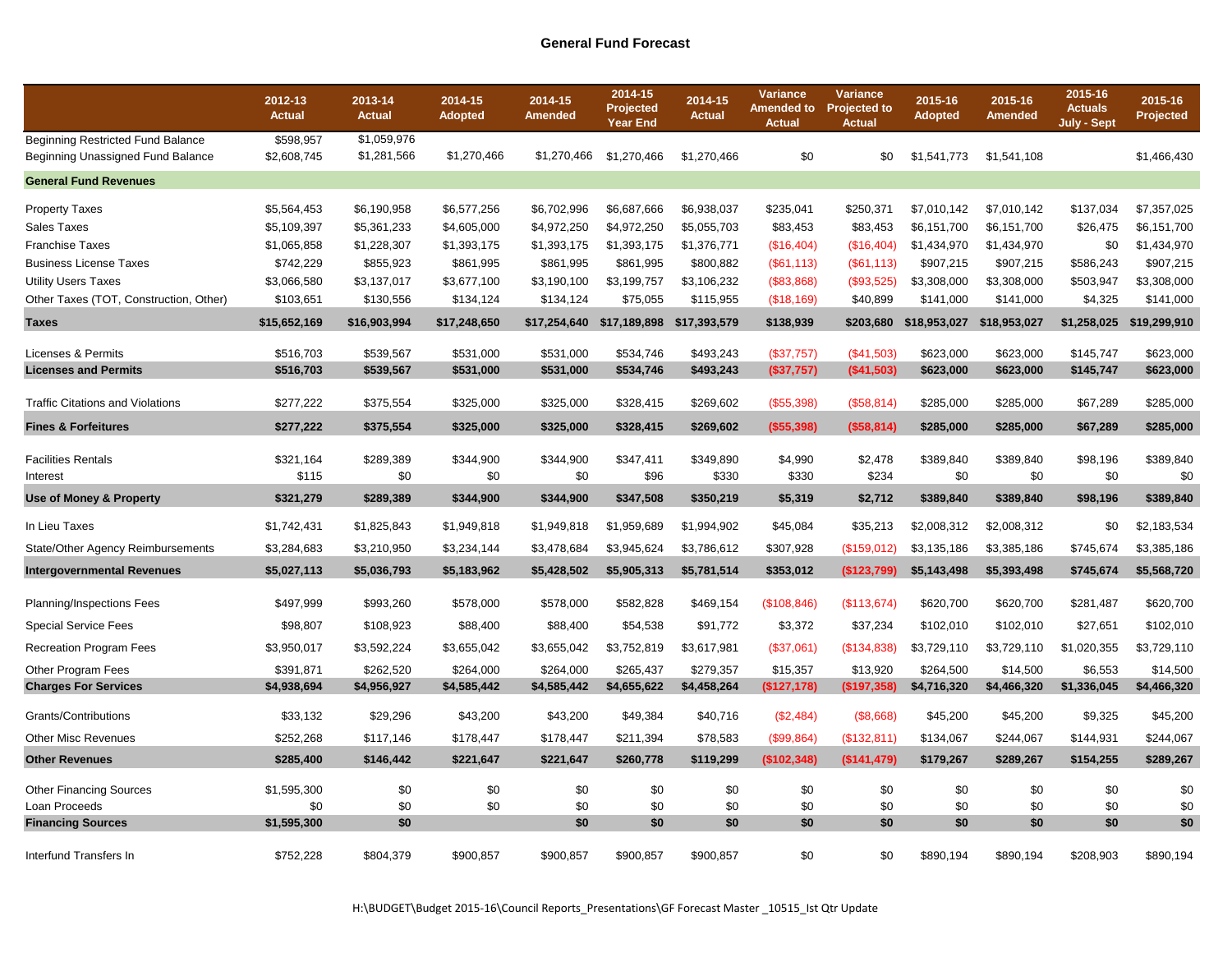|                                                                        | 2012-13<br><b>Actual</b> | 2013-14<br><b>Actual</b>   | 2014-15<br><b>Adopted</b> | 2014-15<br><b>Amended</b> | 2014-15<br>Projected<br><b>Year End</b> | 2014-15<br><b>Actual</b> | Variance<br><b>Actual</b> | <b>Variance</b><br>Amended to Projected to<br><b>Actual</b> | 2015-16<br><b>Adopted</b> | 2015-16<br>Amended | 2015-16<br><b>Actuals</b><br>July - Sept | 2015-16<br>Projected |
|------------------------------------------------------------------------|--------------------------|----------------------------|---------------------------|---------------------------|-----------------------------------------|--------------------------|---------------------------|-------------------------------------------------------------|---------------------------|--------------------|------------------------------------------|----------------------|
| Beginning Restricted Fund Balance<br>Beginning Unassigned Fund Balance | \$598,957<br>\$2,608,745 | \$1,059,976<br>\$1,281,566 | \$1,270,466               | \$1,270,466               | \$1,270,466                             | \$1,270,466              | \$0                       | \$0                                                         | \$1,541,773               | \$1,541,108        |                                          | \$1,466,430          |
| <b>General Fund Revenues</b>                                           |                          |                            |                           |                           |                                         |                          |                           |                                                             |                           |                    |                                          |                      |
| <b>Property Taxes</b>                                                  | \$5,564,453              | \$6,190,958                | \$6,577,256               | \$6,702,996               | \$6,687,666                             | \$6,938,037              | \$235,041                 | \$250,371                                                   | \$7,010,142               | \$7,010,142        | \$137,034                                | \$7,357,025          |
| Sales Taxes                                                            | \$5,109,397              | \$5,361,233                | \$4,605,000               | \$4,972,250               | \$4,972,250                             | \$5,055,703              | \$83,453                  | \$83,453                                                    | \$6,151,700               | \$6,151,700        | \$26,475                                 | \$6,151,700          |
| Franchise Taxes                                                        | \$1,065,858              | \$1,228,307                | \$1,393,175               | \$1,393,175               | \$1,393,175                             | \$1,376,771              | (\$16,404)                | (\$16,404)                                                  | \$1,434,970               | \$1,434,970        | \$0                                      | \$1,434,970          |
| <b>Business License Taxes</b>                                          | \$742,229                | \$855,923                  | \$861,995                 | \$861,995                 | \$861,995                               | \$800,882                | (\$61,113)                | (S61, 113)                                                  | \$907,215                 | \$907,215          | \$586,243                                | \$907,215            |
| <b>Utility Users Taxes</b>                                             | \$3,066,580              | \$3,137,017                | \$3,677,100               | \$3,190,100               | \$3,199,757                             | \$3,106,232              | (\$83,868)                | (\$93,525)                                                  | \$3,308,000               | \$3,308,000        | \$503,947                                | \$3,308,000          |
| Other Taxes (TOT, Construction, Other)                                 | \$103,651                | \$130,556                  | \$134,124                 | \$134,124                 | \$75,055                                | \$115,955                | (\$18,169)                | \$40,899                                                    | \$141,000                 | \$141,000          | \$4,325                                  | \$141,000            |
| <b>Taxes</b>                                                           | \$15,652,169             | \$16,903,994               | \$17,248,650              | \$17,254,640              | \$17,189,898 \$17,393,579               |                          | \$138,939                 | \$203,680                                                   | \$18,953,027              | \$18,953,027       | \$1,258,025                              | \$19,299,910         |
| Licenses & Permits                                                     | \$516,703                | \$539,567                  | \$531,000                 | \$531,000                 | \$534,746                               | \$493,243                | (\$37,757)                | (\$41,503)                                                  | \$623,000                 | \$623,000          | \$145.747                                | \$623.000            |
| <b>Licenses and Permits</b>                                            | \$516,703                | \$539,567                  | \$531,000                 | \$531,000                 | \$534,746                               | \$493,243                | (\$37,757)                | (\$41,503)                                                  | \$623,000                 | \$623,000          | \$145,747                                | \$623,000            |
| <b>Traffic Citations and Violations</b>                                | \$277,222                | \$375,554                  | \$325,000                 | \$325,000                 | \$328,415                               | \$269,602                | (\$55,398)                | (\$58,814)                                                  | \$285,000                 | \$285,000          | \$67,289                                 | \$285,000            |
| <b>Fines &amp; Forfeitures</b>                                         | \$277,222                | \$375,554                  | \$325,000                 | \$325,000                 | \$328,415                               | \$269,602                | ( \$55, 398)              | (\$58,814)                                                  | \$285,000                 | \$285,000          | \$67,289                                 | \$285,000            |
|                                                                        |                          |                            |                           |                           |                                         |                          |                           |                                                             |                           |                    |                                          |                      |
| <b>Facilities Rentals</b><br>Interest                                  | \$321,164<br>\$115       | \$289,389<br>\$0           | \$344,900<br>\$0          | \$344,900<br>\$0          | \$347,411<br>\$96                       | \$349,890<br>\$330       | \$4,990<br>\$330          | \$2,478<br>\$234                                            | \$389,840<br>\$0          | \$389,840<br>\$0   | \$98,196<br>\$0                          | \$389,840<br>\$0     |
| <b>Use of Money &amp; Property</b>                                     | \$321,279                | \$289,389                  | \$344,900                 | \$344,900                 | \$347,508                               | \$350,219                | \$5,319                   | \$2,712                                                     | \$389,840                 | \$389,840          | \$98,196                                 | \$389,840            |
| In Lieu Taxes                                                          | \$1,742,431              | \$1,825,843                | \$1,949,818               | \$1,949,818               | \$1,959,689                             | \$1,994,902              | \$45,084                  | \$35,213                                                    | \$2,008,312               | \$2,008,312        | \$0                                      | \$2,183,534          |
| State/Other Agency Reimbursements                                      | \$3,284,683              | \$3,210,950                | \$3,234,144               | \$3,478,684               | \$3,945,624                             | \$3,786,612              | \$307,928                 | (\$159,012)                                                 | \$3,135,186               | \$3,385,186        | \$745,674                                | \$3,385,186          |
| <b>Intergovernmental Revenues</b>                                      | \$5,027,113              | \$5,036,793                | \$5,183,962               | \$5,428,502               | \$5,905,313                             | \$5,781,514              | \$353,012                 | (\$123,799)                                                 | \$5,143,498               | \$5,393,498        | \$745,674                                | \$5,568,720          |
| Planning/Inspections Fees                                              | \$497,999                | \$993,260                  | \$578,000                 | \$578,000                 | \$582,828                               | \$469,154                | (\$108, 846)              | (\$113,674)                                                 | \$620,700                 | \$620,700          | \$281,487                                | \$620,700            |
| <b>Special Service Fees</b>                                            | \$98,807                 | \$108,923                  | \$88,400                  | \$88,400                  | \$54,538                                | \$91,772                 | \$3,372                   | \$37,234                                                    | \$102,010                 | \$102,010          | \$27,651                                 | \$102,010            |
| <b>Recreation Program Fees</b>                                         | \$3,950,017              | \$3,592,224                | \$3,655,042               | \$3,655,042               | \$3,752,819                             | \$3,617,981              | (\$37,061)                | (\$134,838)                                                 | \$3,729,110               | \$3,729,110        | \$1,020,355                              | \$3,729,110          |
| Other Program Fees                                                     | \$391,871                | \$262,520                  | \$264,000                 | \$264,000                 | \$265,437                               | \$279,357                | \$15,357                  | \$13,920                                                    | \$264,500                 | \$14,500           | \$6,553                                  | \$14,500             |
| <b>Charges For Services</b>                                            | \$4,938,694              | \$4,956,927                | \$4,585,442               | \$4,585,442               | \$4,655,622                             | \$4,458,264              | (\$127, 178)              | (\$197,358)                                                 | \$4,716,320               | \$4,466,320        | \$1,336,045                              | \$4,466,320          |
| Grants/Contributions                                                   | \$33,132                 | \$29,296                   | \$43,200                  | \$43,200                  | \$49,384                                | \$40,716                 | (\$2,484)                 | (\$8,668)                                                   | \$45,200                  | \$45,200           | \$9,325                                  | \$45,200             |
| Other Misc Revenues                                                    | \$252,268                | \$117,146                  | \$178,447                 | \$178,447                 | \$211,394                               | \$78,583                 | (\$99,864)                | (\$132,811)                                                 | \$134,067                 | \$244,067          | \$144,931                                | \$244,067            |
| <b>Other Revenues</b>                                                  | \$285,400                | \$146,442                  | \$221,647                 | \$221,647                 | \$260,778                               | \$119,299                | (\$102,348)               | (\$141,479)                                                 | \$179,267                 | \$289,267          | \$154,255                                | \$289,267            |
| <b>Other Financing Sources</b>                                         | \$1,595,300              | \$0                        | \$0                       | \$0                       | \$0                                     | \$0                      | \$0                       | \$0                                                         | \$0                       | \$0                | \$0                                      | \$0                  |
| Loan Proceeds                                                          | \$0                      | \$0                        | \$0                       | \$0                       | \$0                                     | \$0                      | \$0                       | \$0                                                         | \$0                       | \$0                | \$0                                      | \$0                  |
| <b>Financing Sources</b>                                               | \$1,595,300              | \$0                        |                           | \$0                       | \$0                                     | \$0                      | \$0                       | \$0                                                         | \$0                       | \$0                | \$0                                      | \$0                  |
| Interfund Transfers In                                                 | \$752,228                | \$804,379                  | \$900,857                 | \$900,857                 | \$900,857                               | \$900,857                | \$0                       | \$0                                                         | \$890,194                 | \$890,194          | \$208,903                                | \$890,194            |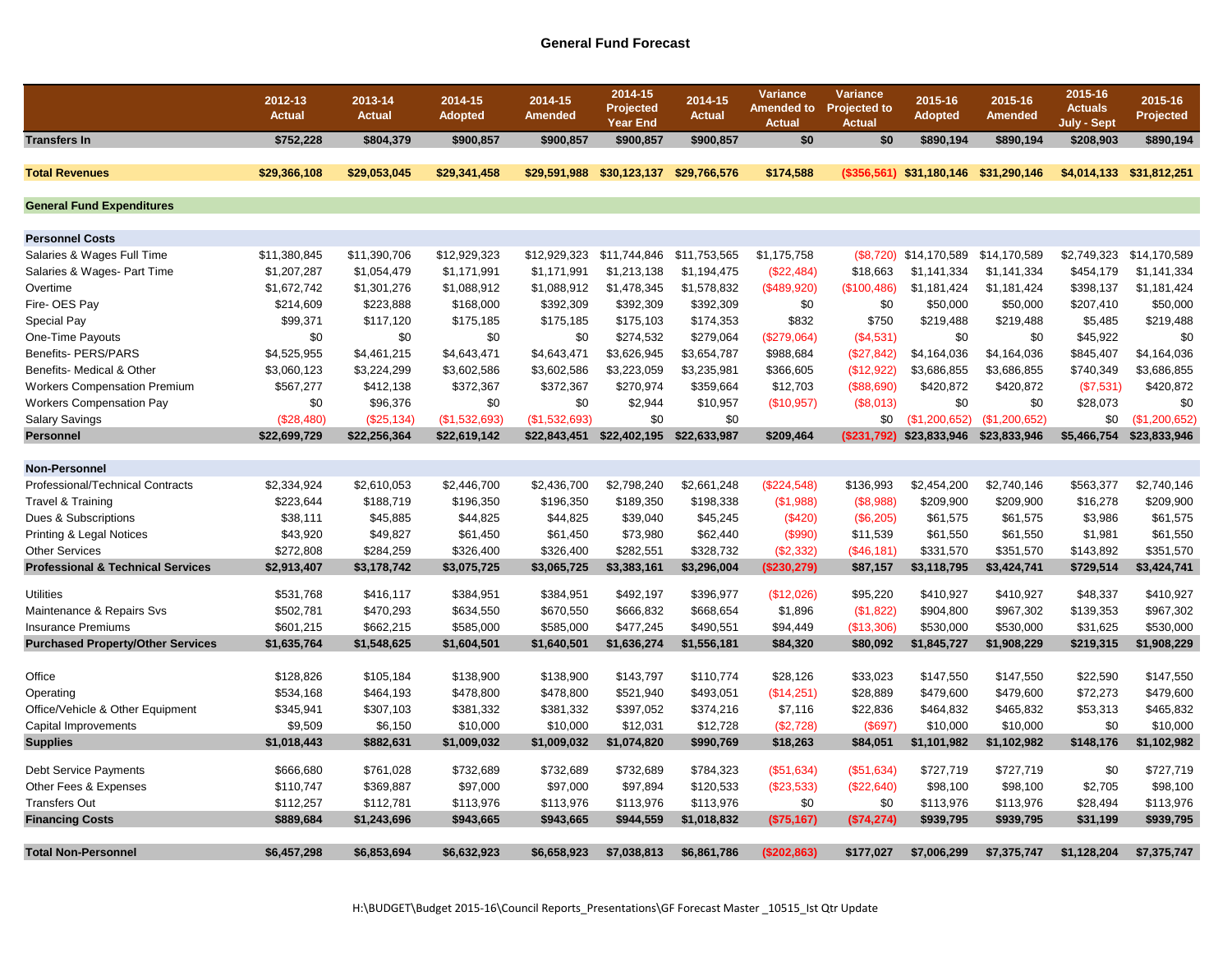## **General Fund Forecast**

|                                              | 2012-13<br><b>Actual</b> | 2013-14<br><b>Actual</b> | 2014-15<br><b>Adopted</b> | 2014-15<br><b>Amended</b> | 2014-15<br>Projected<br><b>Year End</b> | 2014-15<br><b>Actual</b> | Variance<br><b>Amended to</b><br><b>Actual</b> | Variance<br><b>Projected to</b><br><b>Actual</b> | 2015-16<br><b>Adopted</b>             | 2015-16<br>Amended | 2015-16<br><b>Actuals</b><br>July - Sept | 2015-16<br>Projected     |
|----------------------------------------------|--------------------------|--------------------------|---------------------------|---------------------------|-----------------------------------------|--------------------------|------------------------------------------------|--------------------------------------------------|---------------------------------------|--------------------|------------------------------------------|--------------------------|
| <b>Transfers In</b>                          | \$752,228                | \$804,379                | \$900,857                 | \$900,857                 | \$900,857                               | \$900,857                | \$0                                            | \$0                                              | \$890,194                             | \$890,194          | \$208,903                                | \$890,194                |
| <b>Total Revenues</b>                        | \$29,366,108             | \$29,053,045             | \$29,341,458              | \$29,591,988              | \$30,123,137                            | \$29,766,576             | \$174,588                                      |                                                  | (\$356,561) \$31,180,146 \$31,290,146 |                    |                                          | \$4,014,133 \$31,812,251 |
| <b>General Fund Expenditures</b>             |                          |                          |                           |                           |                                         |                          |                                                |                                                  |                                       |                    |                                          |                          |
| <b>Personnel Costs</b>                       |                          |                          |                           |                           |                                         |                          |                                                |                                                  |                                       |                    |                                          |                          |
| Salaries & Wages Full Time                   | \$11,380,845             | \$11,390,706             | \$12,929,323              | \$12,929,323              | \$11,744,846                            | \$11,753,565             | \$1,175,758                                    |                                                  | $($8,720)$ \$14,170,589               | \$14,170,589       | \$2,749,323                              | \$14,170,589             |
| Salaries & Wages- Part Time                  | \$1,207,287              | \$1,054,479              | \$1,171,991               | \$1,171,991               | \$1,213,138                             | \$1,194,475              | (\$22,484)                                     | \$18,663                                         | \$1,141,334                           | \$1,141,334        | \$454,179                                | \$1,141,334              |
| Overtime                                     | \$1,672,742              | \$1,301,276              | \$1,088,912               | \$1,088,912               | \$1,478,345                             | \$1,578,832              | (\$489,920)                                    | (\$100,486)                                      | \$1,181,424                           | \$1,181,424        | \$398,137                                | \$1,181,424              |
| Fire- OES Pay                                | \$214,609                | \$223,888                | \$168,000                 | \$392,309                 | \$392,309                               | \$392,309                | \$0                                            | \$0                                              | \$50,000                              | \$50,000           | \$207,410                                | \$50,000                 |
| <b>Special Pay</b>                           | \$99,371                 | \$117,120                | \$175,185                 | \$175.185                 | \$175,103                               | \$174,353                | \$832                                          | \$750                                            | \$219,488                             | \$219,488          | \$5,485                                  | \$219,488                |
| One-Time Payouts                             | \$0                      | \$0                      | \$0                       | \$0                       | \$274,532                               | \$279,064                | (\$279,064)                                    | (\$4,531)                                        | \$0                                   | \$0                | \$45,922                                 | \$0                      |
| Benefits- PERS/PARS                          | \$4,525,955              | \$4,461,215              | \$4,643,471               | \$4,643,471               | \$3,626,945                             | \$3,654,787              | \$988,684                                      | (\$27,842)                                       | \$4,164,036                           | \$4,164,036        | \$845,407                                | \$4,164,036              |
| Benefits- Medical & Other                    | \$3,060,123              | \$3,224,299              | \$3,602,586               | \$3,602,586               | \$3,223,059                             | \$3,235,981              | \$366,605                                      | (\$12,922)                                       | \$3,686,855                           | \$3,686,855        | \$740,349                                | \$3,686,855              |
| <b>Workers Compensation Premium</b>          | \$567,277                | \$412,138                | \$372,367                 | \$372,367                 | \$270,974                               | \$359,664                | \$12,703                                       | ( \$88, 690)                                     | \$420,872                             | \$420,872          | (\$7,531)                                | \$420,872                |
| <b>Workers Compensation Pay</b>              | \$0                      | \$96,376                 | \$0                       | \$0                       | \$2,944                                 | \$10,957                 | (\$10,957)                                     | (\$8,013)                                        | \$0                                   | \$0                | \$28,073                                 | \$0                      |
| <b>Salary Savings</b>                        | (S28.480)                | (\$25,134)               | (\$1,532,693)             | (S1.532.693)              | \$0                                     | \$0                      |                                                | \$0                                              | (S1.200.652)                          | (\$1,200,652)      | \$0                                      | (\$1,200,652)            |
| <b>Personnel</b>                             | \$22,699,729             | \$22,256,364             | \$22,619,142              | \$22,843,451              | \$22,402,195                            | \$22,633,987             | \$209.464                                      |                                                  | (\$231,792) \$23,833,946 \$23,833,946 |                    | \$5,466,754                              | \$23,833,946             |
|                                              |                          |                          |                           |                           |                                         |                          |                                                |                                                  |                                       |                    |                                          |                          |
| <b>Non-Personnel</b>                         |                          |                          |                           |                           |                                         |                          |                                                |                                                  |                                       |                    |                                          |                          |
| <b>Professional/Technical Contracts</b>      | \$2,334,924              | \$2,610,053              | \$2,446,700               | \$2,436,700               | \$2,798,240                             | \$2,661,248              | (\$224,548)                                    | \$136,993                                        | \$2,454,200                           | \$2,740,146        | \$563,377                                | \$2,740,146              |
| Travel & Training                            | \$223,644                | \$188,719                | \$196,350                 | \$196,350                 | \$189,350                               | \$198,338                | (\$1,988)                                      | (\$8,988)                                        | \$209,900                             | \$209,900          | \$16,278                                 | \$209,900                |
| Dues & Subscriptions                         | \$38,111                 | \$45,885                 | \$44,825                  | \$44,825                  | \$39,040                                | \$45,245                 | (\$420)                                        | (\$6,205)                                        | \$61,575                              | \$61,575           | \$3,986                                  | \$61,575                 |
| Printing & Legal Notices                     | \$43,920                 | \$49,827                 | \$61,450                  | \$61,450                  | \$73,980                                | \$62,440                 | (\$990)                                        | \$11,539                                         | \$61,550                              | \$61,550           | \$1,981                                  | \$61,550                 |
| <b>Other Services</b>                        | \$272,808                | \$284,259                | \$326,400                 | \$326,400                 | \$282,551                               | \$328,732                | (\$2,332)                                      | (\$46,181)                                       | \$331,570                             | \$351,570          | \$143,892                                | \$351,570                |
| <b>Professional &amp; Technical Services</b> | \$2,913,407              | \$3,178,742              | \$3,075,725               | \$3,065,725               | \$3,383,161                             | \$3,296,004              | (\$230,279)                                    | \$87,157                                         | \$3,118,795                           | \$3,424,741        | \$729,514                                | \$3,424,741              |
| <b>Utilities</b>                             | \$531,768                | \$416,117                | \$384,951                 | \$384,951                 | \$492,197                               | \$396,977                | (\$12,026)                                     | \$95,220                                         | \$410,927                             | \$410,927          | \$48,337                                 | \$410,927                |
| Maintenance & Repairs Svs                    | \$502,781                | \$470,293                | \$634,550                 | \$670,550                 | \$666,832                               | \$668,654                | \$1,896                                        | (\$1,822)                                        | \$904,800                             | \$967,302          | \$139,353                                | \$967,302                |
| <b>Insurance Premiums</b>                    | \$601,215                | \$662,215                | \$585,000                 | \$585,000                 | \$477,245                               | \$490,551                | \$94,449                                       | (\$13,306)                                       | \$530,000                             | \$530,000          | \$31,625                                 | \$530,000                |
| <b>Purchased Property/Other Services</b>     | \$1,635,764              | \$1,548,625              | \$1,604,501               | \$1,640,501               | \$1,636,274                             | \$1,556,181              | \$84,320                                       | \$80,092                                         | \$1,845,727                           | \$1,908,229        | \$219,315                                | \$1,908,229              |
|                                              |                          |                          |                           |                           |                                         |                          |                                                |                                                  |                                       |                    |                                          |                          |
| Office                                       | \$128,826                | \$105,184                | \$138,900                 | \$138,900                 | \$143,797                               | \$110,774                | \$28,126                                       | \$33,023                                         | \$147,550                             | \$147,550          | \$22,590                                 | \$147,550                |
| Operating                                    | \$534,168                | \$464,193                | \$478,800                 | \$478,800                 | \$521,940                               | \$493,051                | (\$14,251)                                     | \$28,889                                         | \$479,600                             | \$479,600          | \$72,273                                 | \$479,600                |
| Office/Vehicle & Other Equipment             | \$345,941                | \$307,103                | \$381,332                 | \$381,332                 | \$397,052                               | \$374,216                | \$7,116                                        | \$22,836                                         | \$464,832                             | \$465,832          | \$53,313                                 | \$465,832                |
| Capital Improvements                         | \$9,509                  | \$6,150                  | \$10,000                  | \$10,000                  | \$12,031                                | \$12,728                 | (\$2,728)                                      | (S697)                                           | \$10,000                              | \$10,000           | \$0                                      | \$10,000                 |
| <b>Supplies</b>                              | \$1,018,443              | \$882,631                | \$1,009,032               | \$1,009,032               | \$1,074,820                             | \$990,769                | \$18,263                                       | \$84,051                                         | \$1,101,982                           | \$1,102,982        | \$148,176                                | \$1,102,982              |
|                                              |                          |                          | \$732,689                 | \$732,689                 |                                         | \$784,323                |                                                |                                                  |                                       |                    | \$0                                      | \$727,719                |
| <b>Debt Service Payments</b>                 | \$666,680                | \$761,028                |                           |                           | \$732,689                               |                          | (\$51,634)                                     | (S51, 634)                                       | \$727,719                             | \$727,719          |                                          |                          |
| Other Fees & Expenses                        | \$110,747                | \$369,887                | \$97,000                  | \$97,000                  | \$97,894                                | \$120,533                | (\$23,533)                                     | (\$22,640)                                       | \$98,100                              | \$98,100           | \$2,705                                  | \$98,100                 |
| <b>Transfers Out</b>                         | \$112,257                | \$112,781                | \$113,976                 | \$113,976                 | \$113,976                               | \$113,976                | \$0                                            | \$0                                              | \$113,976                             | \$113,976          | \$28,494                                 | \$113,976                |
| <b>Financing Costs</b>                       | \$889,684                | \$1,243,696              | \$943,665                 | \$943,665                 | \$944,559                               | \$1,018,832              | (\$75,167)                                     | (S74, 274)                                       | \$939,795                             | \$939,795          | \$31,199                                 | \$939,795                |
| <b>Total Non-Personnel</b>                   | \$6,457,298              | \$6,853,694              | \$6.632.923               | \$6.658.923               | \$7,038,813                             | \$6,861,786              | (\$202,863)                                    | \$177.027                                        | \$7,006.299                           | \$7,375,747        | \$1.128.204                              | \$7.375.747              |
|                                              |                          |                          |                           |                           |                                         |                          |                                                |                                                  |                                       |                    |                                          |                          |